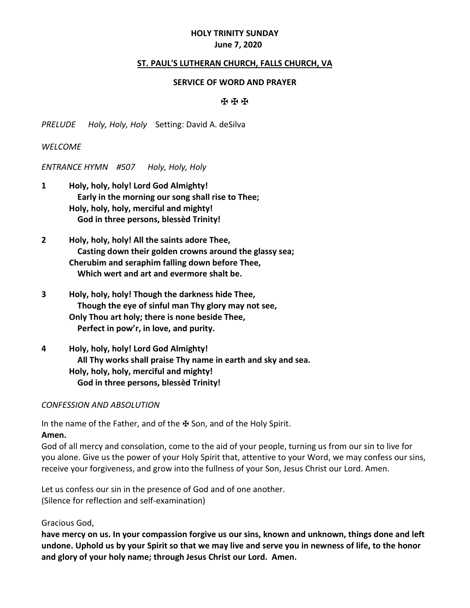# **HOLY TRINITY SUNDAY June 7, 2020**

### **ST. PAUL'S LUTHERAN CHURCH, FALLS CHURCH, VA**

#### **SERVICE OF WORD AND PRAYER**

#### ✠ ✠ ✠

*PRELUDE Holy, Holy, Holy* Setting: David A. deSilva

### *WELCOME*

*ENTRANCE HYMN #507 Holy, Holy, Holy*

- **1 Holy, holy, holy! Lord God Almighty! Early in the morning our song shall rise to Thee; Holy, holy, holy, merciful and mighty! God in three persons, blessèd Trinity!**
- **2 Holy, holy, holy! All the saints adore Thee, Casting down their golden crowns around the glassy sea; Cherubim and seraphim falling down before Thee, Which wert and art and evermore shalt be.**
- **3 Holy, holy, holy! Though the darkness hide Thee, Though the eye of sinful man Thy glory may not see, Only Thou art holy; there is none beside Thee, Perfect in pow'r, in love, and purity.**
- **4 Holy, holy, holy! Lord God Almighty! All Thy works shall praise Thy name in earth and sky and sea. Holy, holy, holy, merciful and mighty! God in three persons, blessèd Trinity!**

#### *CONFESSION AND ABSOLUTION*

In the name of the Father, and of the ₩ Son, and of the Holy Spirit.

#### **Amen.**

God of all mercy and consolation, come to the aid of your people, turning us from our sin to live for you alone. Give us the power of your Holy Spirit that, attentive to your Word, we may confess our sins, receive your forgiveness, and grow into the fullness of your Son, Jesus Christ our Lord. Amen.

Let us confess our sin in the presence of God and of one another. (Silence for reflection and self-examination)

### Gracious God,

**have mercy on us. In your compassion forgive us our sins, known and unknown, things done and left undone. Uphold us by your Spirit so that we may live and serve you in newness of life, to the honor and glory of your holy name; through Jesus Christ our Lord. Amen.**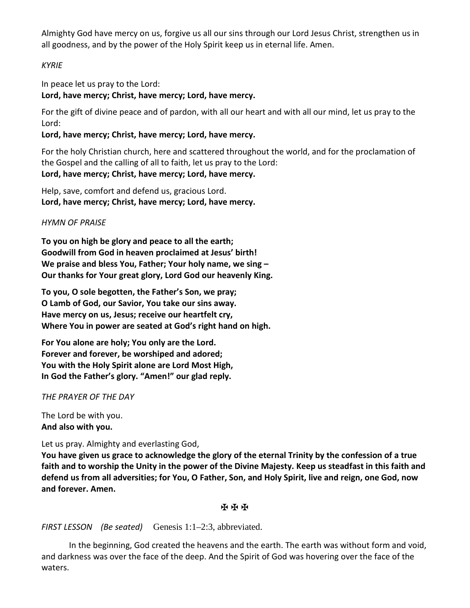Almighty God have mercy on us, forgive us all our sins through our Lord Jesus Christ, strengthen us in all goodness, and by the power of the Holy Spirit keep us in eternal life. Amen.

# *KYRIE*

In peace let us pray to the Lord:

# **Lord, have mercy; Christ, have mercy; Lord, have mercy.**

For the gift of divine peace and of pardon, with all our heart and with all our mind, let us pray to the Lord:

# **Lord, have mercy; Christ, have mercy; Lord, have mercy.**

For the holy Christian church, here and scattered throughout the world, and for the proclamation of the Gospel and the calling of all to faith, let us pray to the Lord: **Lord, have mercy; Christ, have mercy; Lord, have mercy.**

Help, save, comfort and defend us, gracious Lord. **Lord, have mercy; Christ, have mercy; Lord, have mercy.**

## *HYMN OF PRAISE*

**To you on high be glory and peace to all the earth; Goodwill from God in heaven proclaimed at Jesus' birth! We praise and bless You, Father; Your holy name, we sing – Our thanks for Your great glory, Lord God our heavenly King.**

**To you, O sole begotten, the Father's Son, we pray; O Lamb of God, our Savior, You take our sins away. Have mercy on us, Jesus; receive our heartfelt cry, Where You in power are seated at God's right hand on high.**

**For You alone are holy; You only are the Lord. Forever and forever, be worshiped and adored; You with the Holy Spirit alone are Lord Most High, In God the Father's glory. "Amen!" our glad reply.**

*THE PRAYER OF THE DAY*

The Lord be with you. **And also with you.**

Let us pray. Almighty and everlasting God,

**You have given us grace to acknowledge the glory of the eternal Trinity by the confession of a true faith and to worship the Unity in the power of the Divine Majesty. Keep us steadfast in this faith and defend us from all adversities; for You, O Father, Son, and Holy Spirit, live and reign, one God, now and forever. Amen.**

## ✠ ✠ ✠

# *FIRST LESSON (Be seated)* Genesis 1:1–2:3, abbreviated.

In the beginning, God created the heavens and the earth. The earth was without form and void, and darkness was over the face of the deep. And the Spirit of God was hovering over the face of the waters.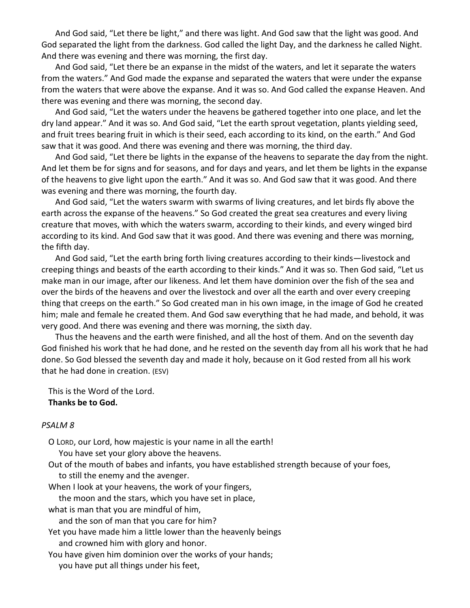And God said, "Let there be light," and there was light. And God saw that the light was good. And God separated the light from the darkness. God called the light Day, and the darkness he called Night. And there was evening and there was morning, the first day.

And God said, "Let there be an expanse in the midst of the waters, and let it separate the waters from the waters." And God made the expanse and separated the waters that were under the expanse from the waters that were above the expanse. And it was so. And God called the expanse Heaven. And there was evening and there was morning, the second day.

And God said, "Let the waters under the heavens be gathered together into one place, and let the dry land appear." And it was so. And God said, "Let the earth sprout vegetation, plants yielding seed, and fruit trees bearing fruit in which is their seed, each according to its kind, on the earth." And God saw that it was good. And there was evening and there was morning, the third day.

And God said, "Let there be lights in the expanse of the heavens to separate the day from the night. And let them be for signs and for seasons, and for days and years, and let them be lights in the expanse of the heavens to give light upon the earth." And it was so. And God saw that it was good. And there was evening and there was morning, the fourth day.

And God said, "Let the waters swarm with swarms of living creatures, and let birds fly above the earth across the expanse of the heavens." So God created the great sea creatures and every living creature that moves, with which the waters swarm, according to their kinds, and every winged bird according to its kind. And God saw that it was good. And there was evening and there was morning, the fifth day.

And God said, "Let the earth bring forth living creatures according to their kinds—livestock and creeping things and beasts of the earth according to their kinds." And it was so. Then God said, "Let us make man in our image, after our likeness. And let them have dominion over the fish of the sea and over the birds of the heavens and over the livestock and over all the earth and over every creeping thing that creeps on the earth." So God created man in his own image, in the image of God he created him; male and female he created them. And God saw everything that he had made, and behold, it was very good. And there was evening and there was morning, the sixth day.

Thus the heavens and the earth were finished, and all the host of them. And on the seventh day God finished his work that he had done, and he rested on the seventh day from all his work that he had done. So God blessed the seventh day and made it holy, because on it God rested from all his work that he had done in creation. (ESV)

This is the Word of the Lord. **Thanks be to God.**

### *PSALM 8*

O LORD, our Lord, how majestic is your name in all the earth!

You have set your glory above the heavens.

Out of the mouth of babes and infants, you have established strength because of your foes, to still the enemy and the avenger.

When I look at your heavens, the work of your fingers,

the moon and the stars, which you have set in place,

what is man that you are mindful of him,

and the son of man that you care for him?

Yet you have made him a little lower than the heavenly beings and crowned him with glory and honor.

You have given him dominion over the works of your hands; you have put all things under his feet,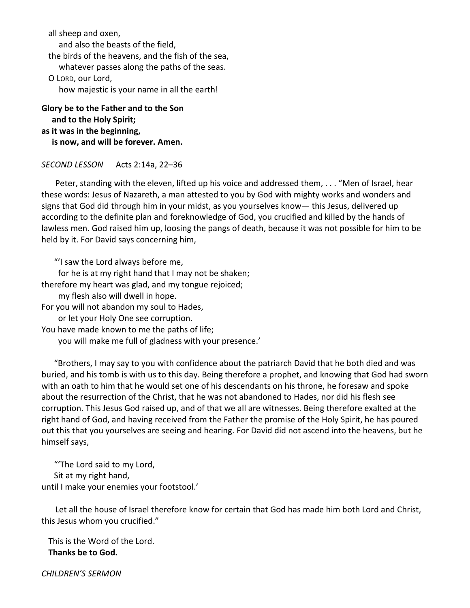all sheep and oxen, and also the beasts of the field, the birds of the heavens, and the fish of the sea, whatever passes along the paths of the seas. O LORD, our Lord, how majestic is your name in all the earth!

**Glory be to the Father and to the Son and to the Holy Spirit; as it was in the beginning, is now, and will be forever. Amen.**

*SECOND LESSON* Acts 2:14a, 22–36

Peter, standing with the eleven, lifted up his voice and addressed them, . . . "Men of Israel, hear these words: Jesus of Nazareth, a man attested to you by God with mighty works and wonders and signs that God did through him in your midst, as you yourselves know— this Jesus, delivered up according to the definite plan and foreknowledge of God, you crucified and killed by the hands of lawless men. God raised him up, loosing the pangs of death, because it was not possible for him to be held by it. For David says concerning him,

"'I saw the Lord always before me,

for he is at my right hand that I may not be shaken;

therefore my heart was glad, and my tongue rejoiced;

my flesh also will dwell in hope.

For you will not abandon my soul to Hades,

or let your Holy One see corruption.

You have made known to me the paths of life;

you will make me full of gladness with your presence.'

 "Brothers, I may say to you with confidence about the patriarch David that he both died and was buried, and his tomb is with us to this day. Being therefore a prophet, and knowing that God had sworn with an oath to him that he would set one of his descendants on his throne, he foresaw and spoke about the resurrection of the Christ, that he was not abandoned to Hades, nor did his flesh see corruption. This Jesus God raised up, and of that we all are witnesses. Being therefore exalted at the right hand of God, and having received from the Father the promise of the Holy Spirit, he has poured out this that you yourselves are seeing and hearing. For David did not ascend into the heavens, but he himself says,

 "'The Lord said to my Lord, Sit at my right hand, until I make your enemies your footstool.'

Let all the house of Israel therefore know for certain that God has made him both Lord and Christ, this Jesus whom you crucified."

This is the Word of the Lord. **Thanks be to God.**

*CHILDREN'S SERMON*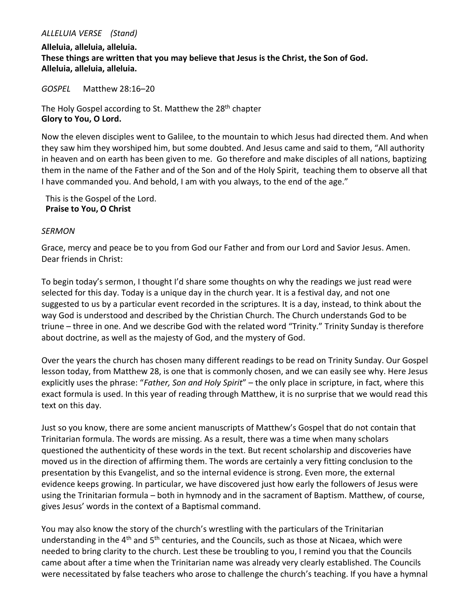### *ALLELUIA VERSE (Stand)*

**Alleluia, alleluia, alleluia. These things are written that you may believe that Jesus is the Christ, the Son of God. Alleluia, alleluia, alleluia.**

*GOSPEL* Matthew 28:16–20

The Holy Gospel according to St. Matthew the 28<sup>th</sup> chapter **Glory to You, O Lord.**

Now the eleven disciples went to Galilee, to the mountain to which Jesus had directed them. And when they saw him they worshiped him, but some doubted. And Jesus came and said to them, "All authority in heaven and on earth has been given to me. Go therefore and make disciples of all nations, baptizing them in the name of the Father and of the Son and of the Holy Spirit, teaching them to observe all that I have commanded you. And behold, I am with you always, to the end of the age."

 This is the Gospel of the Lord.  **Praise to You, O Christ**

## *SERMON*

Grace, mercy and peace be to you from God our Father and from our Lord and Savior Jesus. Amen. Dear friends in Christ:

To begin today's sermon, I thought I'd share some thoughts on why the readings we just read were selected for this day. Today is a unique day in the church year. It is a festival day, and not one suggested to us by a particular event recorded in the scriptures. It is a day, instead, to think about the way God is understood and described by the Christian Church. The Church understands God to be triune – three in one. And we describe God with the related word "Trinity." Trinity Sunday is therefore about doctrine, as well as the majesty of God, and the mystery of God.

Over the years the church has chosen many different readings to be read on Trinity Sunday. Our Gospel lesson today, from Matthew 28, is one that is commonly chosen, and we can easily see why. Here Jesus explicitly uses the phrase: "*Father, Son and Holy Spirit*" – the only place in scripture, in fact, where this exact formula is used. In this year of reading through Matthew, it is no surprise that we would read this text on this day.

Just so you know, there are some ancient manuscripts of Matthew's Gospel that do not contain that Trinitarian formula. The words are missing. As a result, there was a time when many scholars questioned the authenticity of these words in the text. But recent scholarship and discoveries have moved us in the direction of affirming them. The words are certainly a very fitting conclusion to the presentation by this Evangelist, and so the internal evidence is strong. Even more, the external evidence keeps growing. In particular, we have discovered just how early the followers of Jesus were using the Trinitarian formula – both in hymnody and in the sacrament of Baptism. Matthew, of course, gives Jesus' words in the context of a Baptismal command.

You may also know the story of the church's wrestling with the particulars of the Trinitarian understanding in the  $4<sup>th</sup>$  and  $5<sup>th</sup>$  centuries, and the Councils, such as those at Nicaea, which were needed to bring clarity to the church. Lest these be troubling to you, I remind you that the Councils came about after a time when the Trinitarian name was already very clearly established. The Councils were necessitated by false teachers who arose to challenge the church's teaching. If you have a hymnal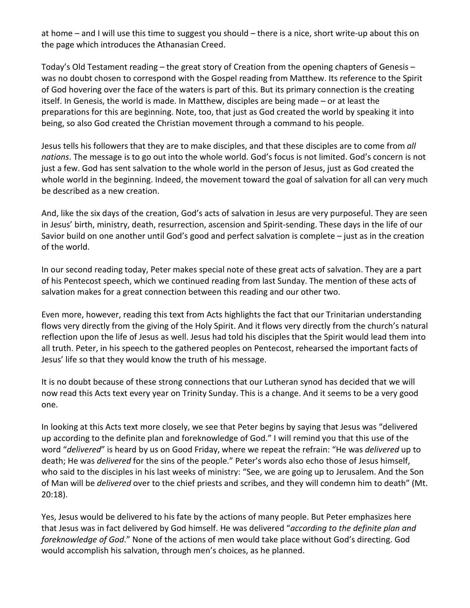at home – and I will use this time to suggest you should – there is a nice, short write-up about this on the page which introduces the Athanasian Creed.

Today's Old Testament reading – the great story of Creation from the opening chapters of Genesis – was no doubt chosen to correspond with the Gospel reading from Matthew. Its reference to the Spirit of God hovering over the face of the waters is part of this. But its primary connection is the creating itself. In Genesis, the world is made. In Matthew, disciples are being made – or at least the preparations for this are beginning. Note, too, that just as God created the world by speaking it into being, so also God created the Christian movement through a command to his people.

Jesus tells his followers that they are to make disciples, and that these disciples are to come from *all nations*. The message is to go out into the whole world. God's focus is not limited. God's concern is not just a few. God has sent salvation to the whole world in the person of Jesus, just as God created the whole world in the beginning. Indeed, the movement toward the goal of salvation for all can very much be described as a new creation.

And, like the six days of the creation, God's acts of salvation in Jesus are very purposeful. They are seen in Jesus' birth, ministry, death, resurrection, ascension and Spirit-sending. These days in the life of our Savior build on one another until God's good and perfect salvation is complete – just as in the creation of the world.

In our second reading today, Peter makes special note of these great acts of salvation. They are a part of his Pentecost speech, which we continued reading from last Sunday. The mention of these acts of salvation makes for a great connection between this reading and our other two.

Even more, however, reading this text from Acts highlights the fact that our Trinitarian understanding flows very directly from the giving of the Holy Spirit. And it flows very directly from the church's natural reflection upon the life of Jesus as well. Jesus had told his disciples that the Spirit would lead them into all truth. Peter, in his speech to the gathered peoples on Pentecost, rehearsed the important facts of Jesus' life so that they would know the truth of his message.

It is no doubt because of these strong connections that our Lutheran synod has decided that we will now read this Acts text every year on Trinity Sunday. This is a change. And it seems to be a very good one.

In looking at this Acts text more closely, we see that Peter begins by saying that Jesus was "delivered up according to the definite plan and foreknowledge of God." I will remind you that this use of the word "*delivered*" is heard by us on Good Friday, where we repeat the refrain: "He was *delivered* up to death; He was *delivered* for the sins of the people." Peter's words also echo those of Jesus himself, who said to the disciples in his last weeks of ministry: "See, we are going up to Jerusalem. And the Son of Man will be *delivered* over to the chief priests and scribes, and they will condemn him to death" (Mt. 20:18).

Yes, Jesus would be delivered to his fate by the actions of many people. But Peter emphasizes here that Jesus was in fact delivered by God himself. He was delivered "*according to the definite plan and foreknowledge of God*." None of the actions of men would take place without God's directing. God would accomplish his salvation, through men's choices, as he planned.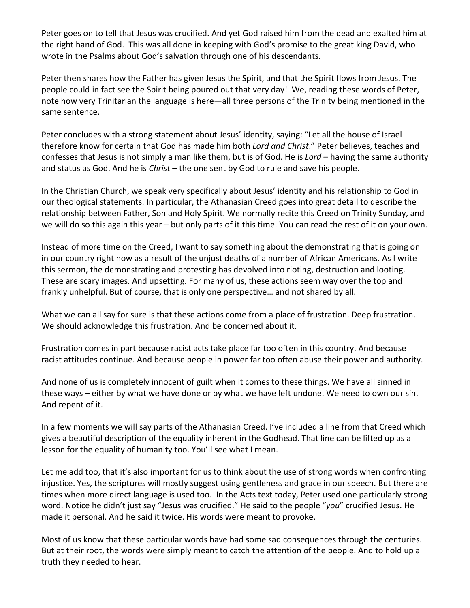Peter goes on to tell that Jesus was crucified. And yet God raised him from the dead and exalted him at the right hand of God. This was all done in keeping with God's promise to the great king David, who wrote in the Psalms about God's salvation through one of his descendants.

Peter then shares how the Father has given Jesus the Spirit, and that the Spirit flows from Jesus. The people could in fact see the Spirit being poured out that very day! We, reading these words of Peter, note how very Trinitarian the language is here—all three persons of the Trinity being mentioned in the same sentence.

Peter concludes with a strong statement about Jesus' identity, saying: "Let all the house of Israel therefore know for certain that God has made him both *Lord and Christ*." Peter believes, teaches and confesses that Jesus is not simply a man like them, but is of God. He is *Lord* – having the same authority and status as God. And he is *Christ* – the one sent by God to rule and save his people.

In the Christian Church, we speak very specifically about Jesus' identity and his relationship to God in our theological statements. In particular, the Athanasian Creed goes into great detail to describe the relationship between Father, Son and Holy Spirit. We normally recite this Creed on Trinity Sunday, and we will do so this again this year – but only parts of it this time. You can read the rest of it on your own.

Instead of more time on the Creed, I want to say something about the demonstrating that is going on in our country right now as a result of the unjust deaths of a number of African Americans. As I write this sermon, the demonstrating and protesting has devolved into rioting, destruction and looting. These are scary images. And upsetting. For many of us, these actions seem way over the top and frankly unhelpful. But of course, that is only one perspective… and not shared by all.

What we can all say for sure is that these actions come from a place of frustration. Deep frustration. We should acknowledge this frustration. And be concerned about it.

Frustration comes in part because racist acts take place far too often in this country. And because racist attitudes continue. And because people in power far too often abuse their power and authority.

And none of us is completely innocent of guilt when it comes to these things. We have all sinned in these ways – either by what we have done or by what we have left undone. We need to own our sin. And repent of it.

In a few moments we will say parts of the Athanasian Creed. I've included a line from that Creed which gives a beautiful description of the equality inherent in the Godhead. That line can be lifted up as a lesson for the equality of humanity too. You'll see what I mean.

Let me add too, that it's also important for us to think about the use of strong words when confronting injustice. Yes, the scriptures will mostly suggest using gentleness and grace in our speech. But there are times when more direct language is used too. In the Acts text today, Peter used one particularly strong word. Notice he didn't just say "Jesus was crucified." He said to the people "*you*" crucified Jesus. He made it personal. And he said it twice. His words were meant to provoke.

Most of us know that these particular words have had some sad consequences through the centuries. But at their root, the words were simply meant to catch the attention of the people. And to hold up a truth they needed to hear.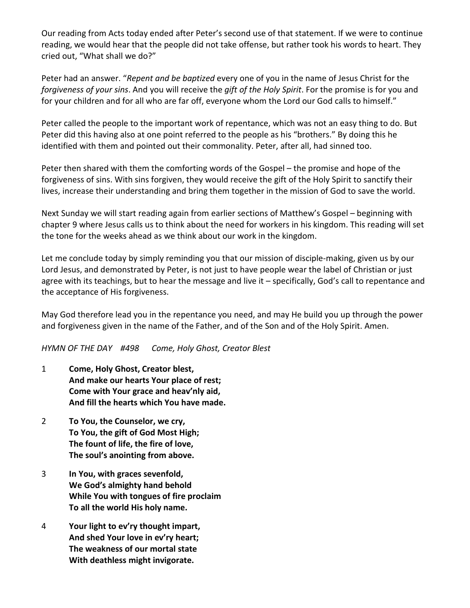Our reading from Acts today ended after Peter's second use of that statement. If we were to continue reading, we would hear that the people did not take offense, but rather took his words to heart. They cried out, "What shall we do?"

Peter had an answer. "*Repent and be baptized* every one of you in the name of Jesus Christ for the *forgiveness of your sins*. And you will receive the *gift of the Holy Spirit*. For the promise is for you and for your children and for all who are far off, everyone whom the Lord our God calls to himself."

Peter called the people to the important work of repentance, which was not an easy thing to do. But Peter did this having also at one point referred to the people as his "brothers." By doing this he identified with them and pointed out their commonality. Peter, after all, had sinned too.

Peter then shared with them the comforting words of the Gospel – the promise and hope of the forgiveness of sins. With sins forgiven, they would receive the gift of the Holy Spirit to sanctify their lives, increase their understanding and bring them together in the mission of God to save the world.

Next Sunday we will start reading again from earlier sections of Matthew's Gospel – beginning with chapter 9 where Jesus calls us to think about the need for workers in his kingdom. This reading will set the tone for the weeks ahead as we think about our work in the kingdom.

Let me conclude today by simply reminding you that our mission of disciple-making, given us by our Lord Jesus, and demonstrated by Peter, is not just to have people wear the label of Christian or just agree with its teachings, but to hear the message and live it – specifically, God's call to repentance and the acceptance of His forgiveness.

May God therefore lead you in the repentance you need, and may He build you up through the power and forgiveness given in the name of the Father, and of the Son and of the Holy Spirit. Amen.

*HYMN OF THE DAY #498 Come, Holy Ghost, Creator Blest*

- 1 **Come, Holy Ghost, Creator blest, And make our hearts Your place of rest; Come with Your grace and heav'nly aid, And fill the hearts which You have made.**
- 2 **To You, the Counselor, we cry, To You, the gift of God Most High; The fount of life, the fire of love, The soul's anointing from above.**
- 3 **In You, with graces sevenfold, We God's almighty hand behold While You with tongues of fire proclaim To all the world His holy name.**
- 4 **Your light to ev'ry thought impart, And shed Your love in ev'ry heart; The weakness of our mortal state With deathless might invigorate.**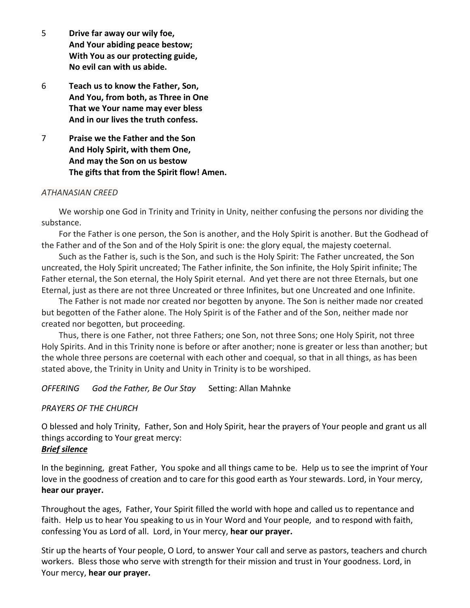- 5 **Drive far away our wily foe, And Your abiding peace bestow; With You as our protecting guide, No evil can with us abide.**
- 6 **Teach us to know the Father, Son, And You, from both, as Three in One That we Your name may ever bless And in our lives the truth confess.**
- 7 **Praise we the Father and the Son And Holy Spirit, with them One, And may the Son on us bestow The gifts that from the Spirit flow! Amen.**

### *ATHANASIAN CREED*

We worship one God in Trinity and Trinity in Unity, neither confusing the persons nor dividing the substance.

For the Father is one person, the Son is another, and the Holy Spirit is another. But the Godhead of the Father and of the Son and of the Holy Spirit is one: the glory equal, the majesty coeternal.

Such as the Father is, such is the Son, and such is the Holy Spirit: The Father uncreated, the Son uncreated, the Holy Spirit uncreated; The Father infinite, the Son infinite, the Holy Spirit infinite; The Father eternal, the Son eternal, the Holy Spirit eternal. And yet there are not three Eternals, but one Eternal, just as there are not three Uncreated or three Infinites, but one Uncreated and one Infinite.

The Father is not made nor created nor begotten by anyone. The Son is neither made nor created but begotten of the Father alone. The Holy Spirit is of the Father and of the Son, neither made nor created nor begotten, but proceeding.

Thus, there is one Father, not three Fathers; one Son, not three Sons; one Holy Spirit, not three Holy Spirits. And in this Trinity none is before or after another; none is greater or less than another; but the whole three persons are coeternal with each other and coequal, so that in all things, as has been stated above, the Trinity in Unity and Unity in Trinity is to be worshiped.

*OFFERING God the Father, Be Our Stay* Setting: Allan Mahnke

### *PRAYERS OF THE CHURCH*

O blessed and holy Trinity, Father, Son and Holy Spirit, hear the prayers of Your people and grant us all things according to Your great mercy:

### *Brief silence*

In the beginning, great Father, You spoke and all things came to be. Help us to see the imprint of Your love in the goodness of creation and to care for this good earth as Your stewards. Lord, in Your mercy, **hear our prayer.**

Throughout the ages, Father, Your Spirit filled the world with hope and called us to repentance and faith. Help us to hear You speaking to us in Your Word and Your people, and to respond with faith, confessing You as Lord of all. Lord, in Your mercy, **hear our prayer.**

Stir up the hearts of Your people, O Lord, to answer Your call and serve as pastors, teachers and church workers. Bless those who serve with strength for their mission and trust in Your goodness. Lord, in Your mercy, **hear our prayer.**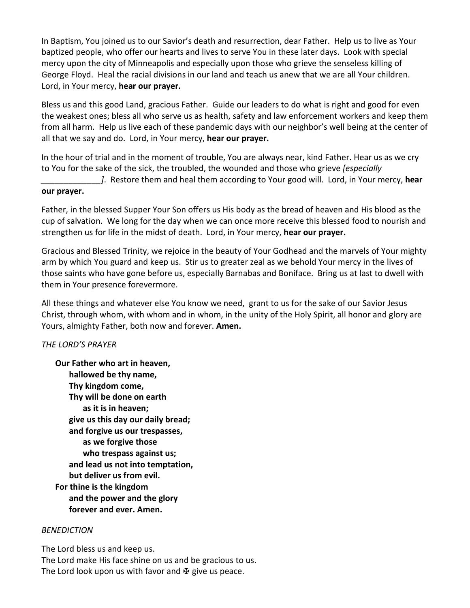In Baptism, You joined us to our Savior's death and resurrection, dear Father. Help us to live as Your baptized people, who offer our hearts and lives to serve You in these later days. Look with special mercy upon the city of Minneapolis and especially upon those who grieve the senseless killing of George Floyd. Heal the racial divisions in our land and teach us anew that we are all Your children. Lord, in Your mercy, **hear our prayer.**

Bless us and this good Land, gracious Father. Guide our leaders to do what is right and good for even the weakest ones; bless all who serve us as health, safety and law enforcement workers and keep them from all harm. Help us live each of these pandemic days with our neighbor's well being at the center of all that we say and do. Lord, in Your mercy, **hear our prayer.**

In the hour of trial and in the moment of trouble, You are always near, kind Father. Hear us as we cry to You for the sake of the sick, the troubled, the wounded and those who grieve *[especially \_\_\_\_\_\_\_\_\_\_\_\_\_]*. Restore them and heal them according to Your good will. Lord, in Your mercy, **hear** 

## **our prayer.**

Father, in the blessed Supper Your Son offers us His body as the bread of heaven and His blood as the cup of salvation. We long for the day when we can once more receive this blessed food to nourish and strengthen us for life in the midst of death. Lord, in Your mercy, **hear our prayer.**

Gracious and Blessed Trinity, we rejoice in the beauty of Your Godhead and the marvels of Your mighty arm by which You guard and keep us. Stir us to greater zeal as we behold Your mercy in the lives of those saints who have gone before us, especially Barnabas and Boniface. Bring us at last to dwell with them in Your presence forevermore.

All these things and whatever else You know we need, grant to us for the sake of our Savior Jesus Christ, through whom, with whom and in whom, in the unity of the Holy Spirit, all honor and glory are Yours, almighty Father, both now and forever. **Amen.**

## *THE LORD'S PRAYER*

**Our Father who art in heaven, hallowed be thy name, Thy kingdom come, Thy will be done on earth as it is in heaven; give us this day our daily bread; and forgive us our trespasses, as we forgive those who trespass against us; and lead us not into temptation, but deliver us from evil. For thine is the kingdom and the power and the glory forever and ever. Amen.**

## *BENEDICTION*

The Lord bless us and keep us. The Lord make His face shine on us and be gracious to us. The Lord look upon us with favor and  $\mathbf{\Psi}$  give us peace.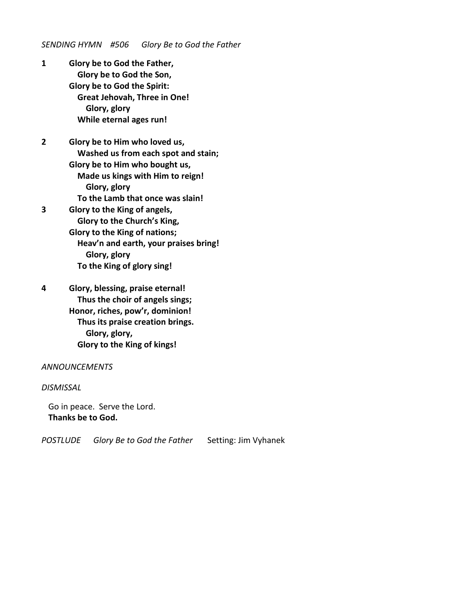*SENDING HYMN #506 Glory Be to God the Father*

**1 Glory be to God the Father, Glory be to God the Son, Glory be to God the Spirit: Great Jehovah, Three in One! Glory, glory While eternal ages run!**

**2 Glory be to Him who loved us, Washed us from each spot and stain; Glory be to Him who bought us, Made us kings with Him to reign! Glory, glory To the Lamb that once was slain! 3 Glory to the King of angels,**

 **Glory to the Church's King, Glory to the King of nations; Heav'n and earth, your praises bring! Glory, glory To the King of glory sing!**

**4 Glory, blessing, praise eternal! Thus the choir of angels sings; Honor, riches, pow'r, dominion! Thus its praise creation brings. Glory, glory, Glory to the King of kings!**

### *ANNOUNCEMENTS*

*DISMISSAL*

Go in peace. Serve the Lord. **Thanks be to God.**

*POSTLUDE Glory Be to God the Father* Setting: Jim Vyhanek